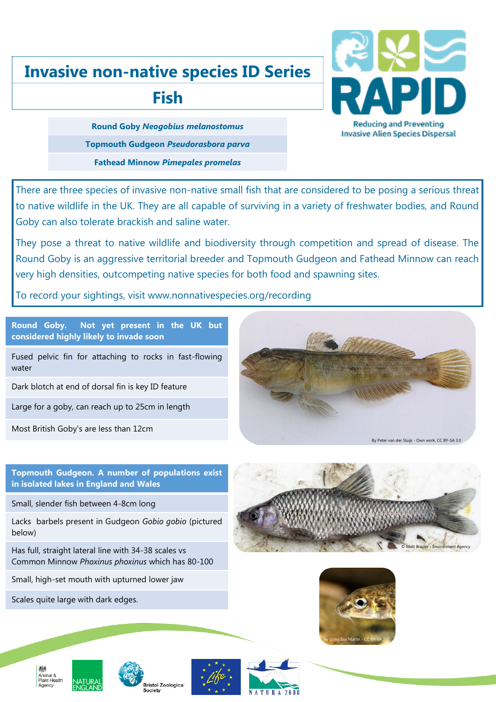## **Invasive non-native species ID Series**

## **Fish**



**Round Goby** *Neogobius melanostomus* **Topmouth Gudgeon** *Pseudorasbora parva* **Fathead Minnow** *Pimepales promelas*

There are three species of invasive non-native small fish that are considered to be posing a serious threat to native wildlife in the UK. They are all capable of surviving in a variety of freshwater bodies, and Round Goby can also tolerate brackish and saline water.

They pose a threat to native wildlife and biodiversity through competition and spread of disease. The Round Goby is an aggressive territorial breeder and Topmouth Gudgeon and Fathead Minnow can reach very high densities, outcompeting native species for both food and spawning sites.

To record your sightings, visit www.nonnativespecies.org/recording

**Round Goby. Not yet present in the UK but considered highly likely to invade soon**

Fused pelvic fin for attaching to rocks in fast-flowing water

Dark blotch at end of dorsal fin is key ID feature

Large for a goby, can reach up to 25cm in length

Most British Goby's are less than 12cm



**Topmouth Gudgeon. A number of populations exist in isolated lakes in England and Wales**

Small, slender fish between 4-8cm long

Lacks barbels present in Gudgeon *Gobio gobio* (pictured below)

Has full, straight lateral line with 34-38 scales vs Common Minnow *Phoxinus phoxinus* which has 80-100

Small, high-set mouth with upturned lower jaw

Scales quite large with dark edges.